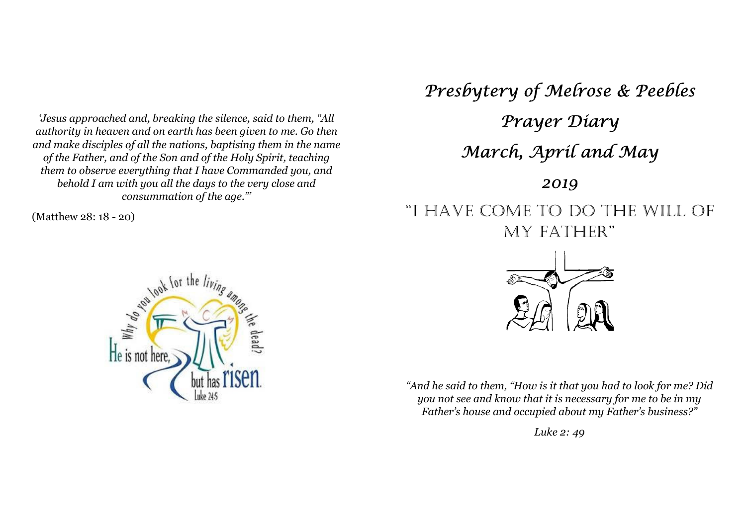*'Jesus approached and, breaking the silence, said to them, "All authority in heaven and on earth has been given to me. Go then and make disciples of all the nations, baptising them in the name of the Father, and of the Son and of the Holy Spirit, teaching them to observe everything that I have Commanded you, and behold I am with you all the days to the very close and consummation of the age."'* 

(Matthew 28: 18 - 20)



Presbytery of Melrose & Peebles Prayer Diary March, April and May 2019 "I HAVE COME TO DO THE WILL OF MY FATHER"



*"And he said to them, "How is it that you had to look for me? Did you not see and know that it is necessary for me to be in my Father's house and occupied about my Father's business?"* 

*Luke 2: 49*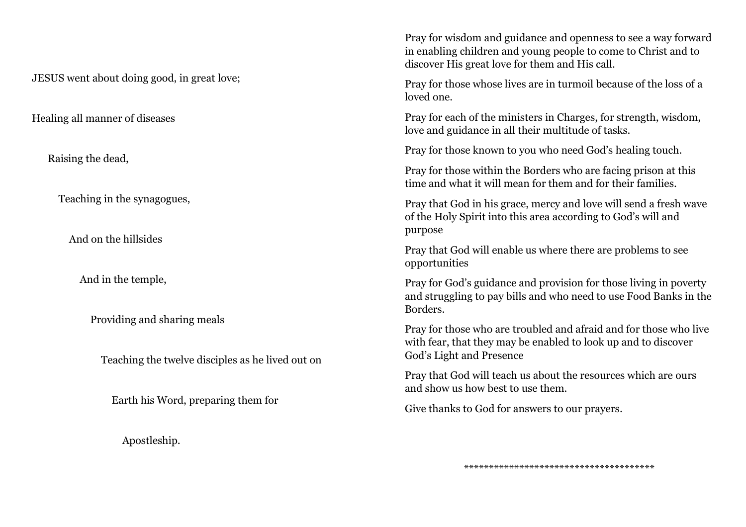JESUS went about doing good, in great love;

Healing all manner of diseases

Raising the dead,

Teaching in the synagogues,

And on the hillsides

And in the temple,

Providing and sharing meals

Teaching the twelve disciples as he lived out on

Earth his Word, preparing them for

Apostleship.

Pray for wisdom and guidance and openness to see a way forward in enabling children and young people to come to Christ and to discover His great love for them and His call.

Pray for those whose lives are in turmoil because of the loss of a loved one.

Pray for each of the ministers in Charges, for strength, wisdom, love and guidance in all their multitude of tasks.

Pray for those known to you who need God's healing touch.

Pray for those within the Borders who are facing prison at this time and what it will mean for them and for their families.

Pray that God in his grace, mercy and love will send a fresh wave of the Holy Spirit into this area according to God's will and purpose

Pray that God will enable us where there are problems to see opportunities

Pray for God's guidance and provision for those living in poverty and struggling to pay bills and who need to use Food Banks in the Borders.

Pray for those who are troubled and afraid and for those who live with fear, that they may be enabled to look up and to discover God's Light and Presence

Pray that God will teach us about the resources which are ours and show us how best to use them.

Give thanks to God for answers to our prayers.

\*\*\*\*\*\*\*\*\*\*\*\*\*\*\*\*\*\*\*\*\*\*\*\*\*\*\*\*\*\*\*\*\*\*\*\*\*\*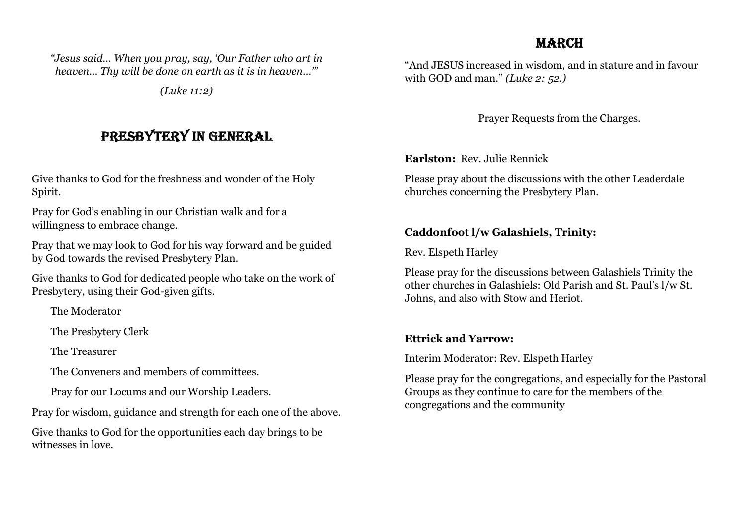### MARCH

*"Jesus said… When you pray, say, 'Our Father who art in heaven… Thy will be done on earth as it is in heaven…'"* 

*(Luke 11:2)* 

# PRESBYTERY IN GENERAL

Give thanks to God for the freshness and wonder of the Holy Spirit.

Pray for God's enabling in our Christian walk and for a willingness to embrace change.

Pray that we may look to God for his way forward and be guided by God towards the revised Presbytery Plan.

Give thanks to God for dedicated people who take on the work of Presbytery, using their God-given gifts.

The Moderator

The Presbytery Clerk

The Treasurer

The Conveners and members of committees.

Pray for our Locums and our Worship Leaders.

Pray for wisdom, guidance and strength for each one of the above.

Give thanks to God for the opportunities each day brings to be witnesses in love.

"And JESUS increased in wisdom, and in stature and in favour with GOD and man." *(Luke 2: 52.)*

Prayer Requests from the Charges.

**Earlston:** Rev. Julie Rennick

Please pray about the discussions with the other Leaderdale churches concerning the Presbytery Plan.

### **Caddonfoot l/w Galashiels, Trinity:**

Rev. Elspeth Harley

Please pray for the discussions between Galashiels Trinity the other churches in Galashiels: Old Parish and St. Paul's l/w St. Johns, and also with Stow and Heriot.

### **Ettrick and Yarrow:**

Interim Moderator: Rev. Elspeth Harley

Please pray for the congregations, and especially for the Pastoral Groups as they continue to care for the members of the congregations and the community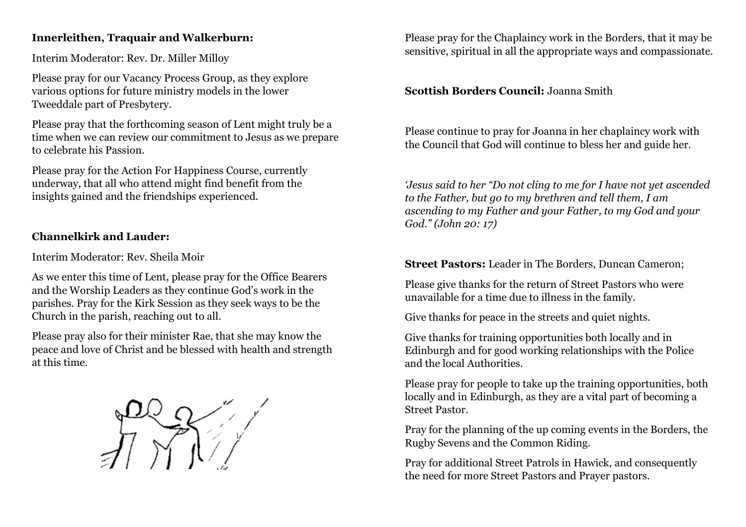### **Innerleithen, Traquair and Walkerburn:**

Interim Moderator: Rev. Dr. Miller Milloy

Please pray for our Vacancy Process Group, as they explore various options for future ministry models in the lower Tweeddale part of Presbytery.

Please pray that the forthcoming season of Lent might truly be a time when we can review our commitment to Jesus as we prepare to celebrate his Passion.

Please pray for the Action For Happiness Course, currently underway, that all who attend might find benefit from the insights gained and the friendships experienced.

### **Channelkirk and Lauder:**

Interim Moderator: Rev. Sheila Moir

As we enter this time of Lent, please pray for the Office Bearers and the Worship Leaders as they continue God's work in the parishes. Pray for the Kirk Session as they seek ways to be the Church in the parish, reaching out to all.

Please pray also for their minister Rae, that she may know the peace and love of Christ and be blessed with health and strength at this time.



Please pray for the Chaplaincy work in the Borders, that it may be sensitive, spiritual in all the appropriate ways and compassionate.

#### **Scottish Borders Council:** Joanna Smith

Please continue to pray for Joanna in her chaplaincy work with the Council that God will continue to bless her and guide her.

*'Jesus said to her "Do not cling to me for I have not yet ascended to the Father, but go to my brethren and tell them, I am ascending to my Father and your Father, to my God and your God." (John 20: 17)* 

**Street Pastors:** Leader in The Borders, Duncan Cameron;

Please give thanks for the return of Street Pastors who were unavailable for a time due to illness in the family.

Give thanks for peace in the streets and quiet nights.

Give thanks for training opportunities both locally and in Edinburgh and for good working relationships with the Police and the local Authorities.

Please pray for people to take up the training opportunities, both locally and in Edinburgh, as they are a vital part of becoming a Street Pastor.

Pray for the planning of the up coming events in the Borders, the Rugby Sevens and the Common Riding.

Pray for additional Street Patrols in Hawick, and consequently the need for more Street Pastors and Prayer pastors.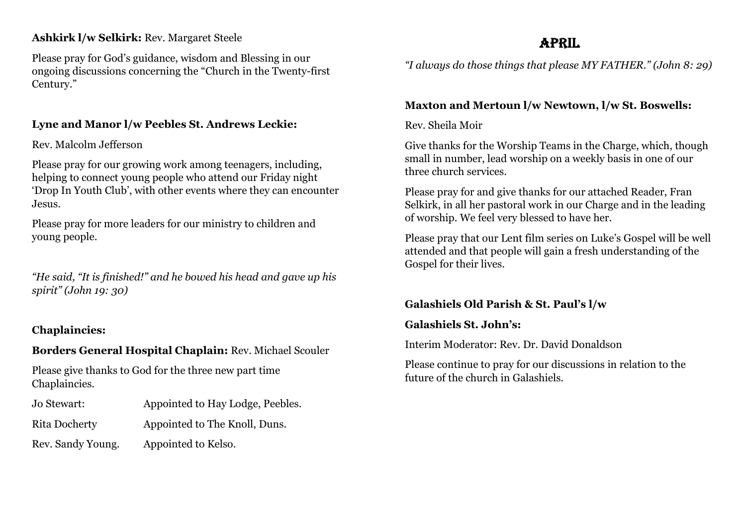### **Ashkirk l/w Selkirk:** Rev. Margaret Steele

Please pray for God's guidance, wisdom and Blessing in our ongoing discussions concerning the "Church in the Twenty-first Century."

### **Lyne and Manor l/w Peebles St. Andrews Leckie:**

Rev. Malcolm Jefferson

Please pray for our growing work among teenagers, including, helping to connect young people who attend our Friday night 'Drop In Youth Club', with other events where they can encounter Jesus.

Please pray for more leaders for our ministry to children and young people.

*"He said, "It is finished!" and he bowed his head and gave up his spirit" (John 19: 30)* 

### **Chaplaincies:**

### **Borders General Hospital Chaplain:** Rev. Michael Scouler

Please give thanks to God for the three new part time Chaplaincies.

- Jo Stewart: Appointed to Hay Lodge, Peebles.
- Rita Docherty Appointed to The Knoll, Duns.
- Rev. Sandy Young. Appointed to Kelso.

## APRIL

*"I always do those things that please MY FATHER." (John 8: 29)* 

### **Maxton and Mertoun l/w Newtown, l/w St. Boswells:**

### Rev. Sheila Moir

Give thanks for the Worship Teams in the Charge, which, though small in number, lead worship on a weekly basis in one of our three church services.

Please pray for and give thanks for our attached Reader, Fran Selkirk, in all her pastoral work in our Charge and in the leading of worship. We feel very blessed to have her.

Please pray that our Lent film series on Luke's Gospel will be well attended and that people will gain a fresh understanding of the Gospel for their lives.

## **Galashiels Old Parish & St. Paul's l/w**

### **Galashiels St. John's:**

Interim Moderator: Rev. Dr. David Donaldson

Please continue to pray for our discussions in relation to the future of the church in Galashiels.